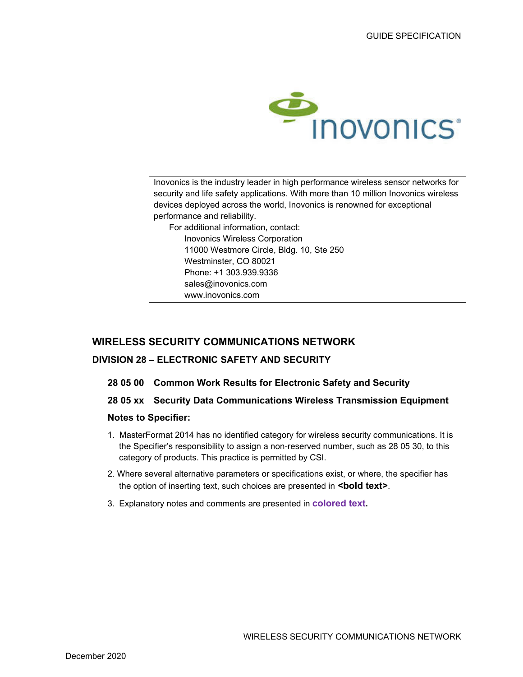

Inovonics is the industry leader in high performance wireless sensor networks for security and life safety applications. With more than 10 million Inovonics wireless devices deployed across the world, Inovonics is renowned for exceptional performance and reliability. For additional information, contact: Inovonics Wireless Corporation 11000 Westmore Circle, Bldg. 10, Ste 250 Westminster, CO 80021 Phone: +1 303.939.9336 sales@inovonics.com www.inovonics.com

# **WIRELESS SECURITY COMMUNICATIONS NETWORK**

# **DIVISION 28 – ELECTRONIC SAFETY AND SECURITY**

- **28 05 00 Common Work Results for Electronic Safety and Security**
- **28 05 xx Security Data Communications Wireless Transmission Equipment**

## **Notes to Specifier:**

- 1. MasterFormat 2014 has no identified category for wireless security communications. It is the Specifier's responsibility to assign a non-reserved number, such as 28 05 30, to this category of products. This practice is permitted by CSI.
- 2. Where several alternative parameters or specifications exist, or where, the specifier has the option of inserting text, such choices are presented in **<br/>bold text>**.
- 3. Explanatory notes and comments are presented in **colored text.**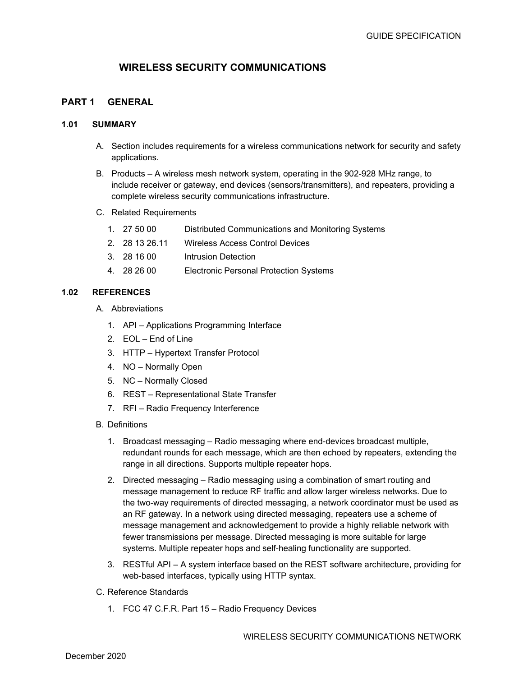# **WIRELESS SECURITY COMMUNICATIONS**

# **PART 1 GENERAL**

#### **1.01 SUMMARY**

- A. Section includes requirements for a wireless communications network for security and safety applications.
- B. Products A wireless mesh network system, operating in the 902-928 MHz range, to include receiver or gateway, end devices (sensors/transmitters), and repeaters, providing a complete wireless security communications infrastructure.
- C. Related Requirements
	- 1. 27 50 00 Distributed Communications and Monitoring Systems
	- 2. 28 13 26.11 Wireless Access Control Devices
	- 3. 28 16 00 Intrusion Detection
	- 4. 28 26 00 Electronic Personal Protection Systems

#### **1.02 REFERENCES**

- A. Abbreviations
	- 1. API Applications Programming Interface
	- 2. EOL End of Line
	- 3. HTTP Hypertext Transfer Protocol
	- 4. NO Normally Open
	- 5. NC Normally Closed
	- 6. REST Representational State Transfer
	- 7. RFI Radio Frequency Interference
- B. Definitions
	- 1. Broadcast messaging Radio messaging where end-devices broadcast multiple, redundant rounds for each message, which are then echoed by repeaters, extending the range in all directions. Supports multiple repeater hops.
	- 2. Directed messaging Radio messaging using a combination of smart routing and message management to reduce RF traffic and allow larger wireless networks. Due to the two-way requirements of directed messaging, a network coordinator must be used as an RF gateway. In a network using directed messaging, repeaters use a scheme of message management and acknowledgement to provide a highly reliable network with fewer transmissions per message. Directed messaging is more suitable for large systems. Multiple repeater hops and self-healing functionality are supported.
	- 3. RESTful API A system interface based on the REST software architecture, providing for web-based interfaces, typically using HTTP syntax.
- C. Reference Standards
	- 1. FCC 47 C.F.R. Part 15 Radio Frequency Devices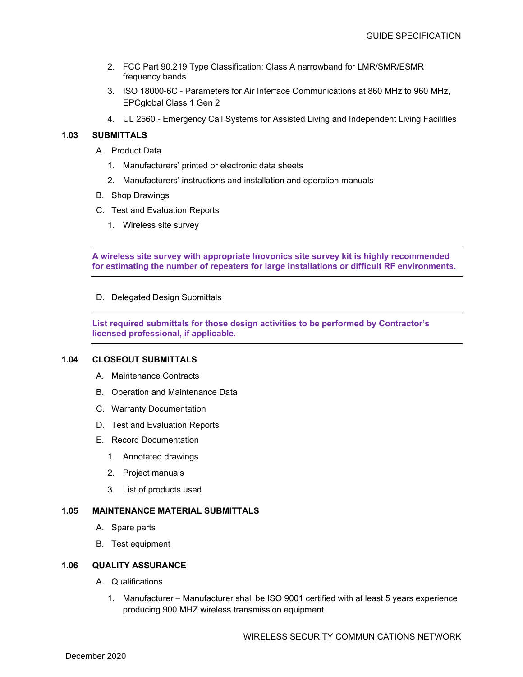- 2. FCC Part 90.219 Type Classification: Class A narrowband for LMR/SMR/ESMR frequency bands
- 3. ISO 18000-6C Parameters for Air Interface Communications at 860 MHz to 960 MHz, EPCglobal Class 1 Gen 2
- 4. UL 2560 Emergency Call Systems for Assisted Living and Independent Living Facilities

## **1.03 SUBMITTALS**

- A. Product Data
	- 1. Manufacturers' printed or electronic data sheets
	- 2. Manufacturers' instructions and installation and operation manuals
- B. Shop Drawings
- C. Test and Evaluation Reports
	- 1. Wireless site survey

**A wireless site survey with appropriate Inovonics site survey kit is highly recommended for estimating the number of repeaters for large installations or difficult RF environments.** 

D. Delegated Design Submittals

**List required submittals for those design activities to be performed by Contractor's licensed professional, if applicable.** 

#### **1.04 CLOSEOUT SUBMITTALS**

- A. Maintenance Contracts
- B. Operation and Maintenance Data
- C. Warranty Documentation
- D. Test and Evaluation Reports
- E. Record Documentation
	- 1. Annotated drawings
	- 2. Project manuals
	- 3. List of products used

#### **1.05 MAINTENANCE MATERIAL SUBMITTALS**

- A. Spare parts
- B. Test equipment

#### **1.06 QUALITY ASSURANCE**

- A. Qualifications
	- 1. Manufacturer Manufacturer shall be ISO 9001 certified with at least 5 years experience producing 900 MHZ wireless transmission equipment.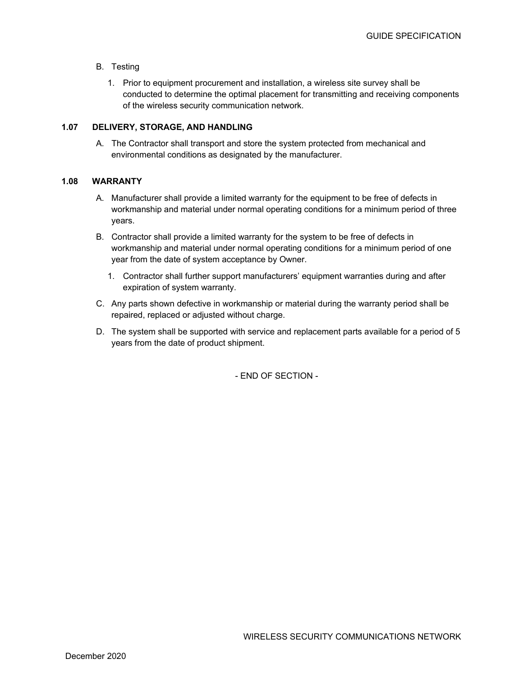- B. Testing
	- 1. Prior to equipment procurement and installation, a wireless site survey shall be conducted to determine the optimal placement for transmitting and receiving components of the wireless security communication network.

## **1.07 DELIVERY, STORAGE, AND HANDLING**

A. The Contractor shall transport and store the system protected from mechanical and environmental conditions as designated by the manufacturer.

## **1.08 WARRANTY**

- A. Manufacturer shall provide a limited warranty for the equipment to be free of defects in workmanship and material under normal operating conditions for a minimum period of three years.
- B. Contractor shall provide a limited warranty for the system to be free of defects in workmanship and material under normal operating conditions for a minimum period of one year from the date of system acceptance by Owner.
	- 1. Contractor shall further support manufacturers' equipment warranties during and after expiration of system warranty.
- C. Any parts shown defective in workmanship or material during the warranty period shall be repaired, replaced or adjusted without charge.
- D. The system shall be supported with service and replacement parts available for a period of 5 years from the date of product shipment.

- END OF SECTION -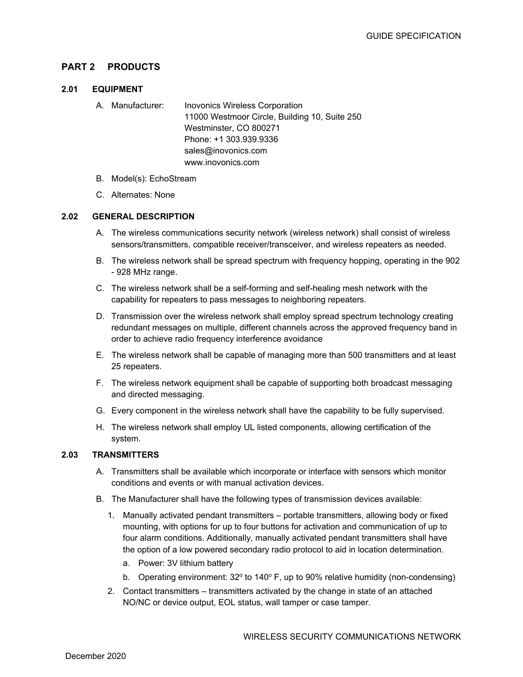# **PART 2 PRODUCTS**

## **2.01 EQUIPMENT**

- A. Manufacturer: Inovonics Wireless Corporation 11000 Westmoor Circle, Building 10, Suite 250 Westminster, CO 800271 Phone: +1 303.939.9336 sales@inovonics.com www.inovonics.com
- B. Model(s): EchoStream
- C. Alternates: None

## **2.02 GENERAL DESCRIPTION**

- A. The wireless communications security network (wireless network) shall consist of wireless sensors/transmitters, compatible receiver/transceiver, and wireless repeaters as needed.
- B. The wireless network shall be spread spectrum with frequency hopping, operating in the 902 - 928 MHz range.
- C. The wireless network shall be a self-forming and self-healing mesh network with the capability for repeaters to pass messages to neighboring repeaters.
- D. Transmission over the wireless network shall employ spread spectrum technology creating redundant messages on multiple, different channels across the approved frequency band in order to achieve radio frequency interference avoidance
- E. The wireless network shall be capable of managing more than 500 transmitters and at least 25 repeaters.
- F. The wireless network equipment shall be capable of supporting both broadcast messaging and directed messaging.
- G. Every component in the wireless network shall have the capability to be fully supervised.
- H. The wireless network shall employ UL listed components, allowing certification of the system.

## **2.03 TRANSMITTERS**

- A. Transmitters shall be available which incorporate or interface with sensors which monitor conditions and events or with manual activation devices.
- B. The Manufacturer shall have the following types of transmission devices available:
	- 1. Manually activated pendant transmitters portable transmitters, allowing body or fixed mounting, with options for up to four buttons for activation and communication of up to four alarm conditions. Additionally, manually activated pendant transmitters shall have the option of a low powered secondary radio protocol to aid in location determination.
		- a. Power: 3V lithium battery
		- b. Operating environment:  $32^{\circ}$  to  $140^{\circ}$  F, up to 90% relative humidity (non-condensing)
	- 2. Contact transmitters transmitters activated by the change in state of an attached NO/NC or device output, EOL status, wall tamper or case tamper.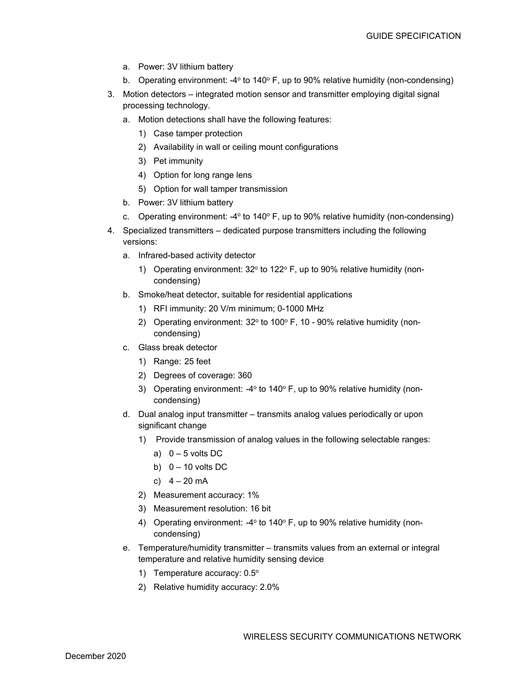- a. Power: 3V lithium battery
- b. Operating environment: -4 $\degree$  to 140 $\degree$  F, up to 90% relative humidity (non-condensing)
- 3. Motion detectors integrated motion sensor and transmitter employing digital signal processing technology.
	- a. Motion detections shall have the following features:
		- 1) Case tamper protection
		- 2) Availability in wall or ceiling mount configurations
		- 3) Pet immunity
		- 4) Option for long range lens
		- 5) Option for wall tamper transmission
	- b. Power: 3V lithium battery
	- c. Operating environment: -4 $\degree$  to 140 $\degree$  F, up to 90% relative humidity (non-condensing)
- 4. Specialized transmitters dedicated purpose transmitters including the following versions:
	- a. Infrared-based activity detector
		- 1) Operating environment:  $32^{\circ}$  to  $122^{\circ}$  F, up to 90% relative humidity (noncondensing)
	- b. Smoke/heat detector, suitable for residential applications
		- 1) RFI immunity: 20 V/m minimum; 0-1000 MHz
		- 2) Operating environment:  $32^{\circ}$  to 100 $^{\circ}$  F, 10 90% relative humidity (noncondensing)
	- c. Glass break detector
		- 1) Range: 25 feet
		- 2) Degrees of coverage: 360
		- 3) Operating environment: -4 $\degree$  to 140 $\degree$  F, up to 90% relative humidity (noncondensing)
	- d. Dual analog input transmitter transmits analog values periodically or upon significant change
		- 1) Provide transmission of analog values in the following selectable ranges:
			- a)  $0 5$  volts DC
			- b)  $0 10$  volts DC
			- c)  $4 20$  mA
		- 2) Measurement accuracy: 1%
		- 3) Measurement resolution: 16 bit
		- 4) Operating environment:  $-4^{\circ}$  to 140 $^{\circ}$  F, up to 90% relative humidity (noncondensing)
	- e. Temperature/humidity transmitter transmits values from an external or integral temperature and relative humidity sensing device
		- 1) Temperature accuracy: 0.5°
		- 2) Relative humidity accuracy: 2.0%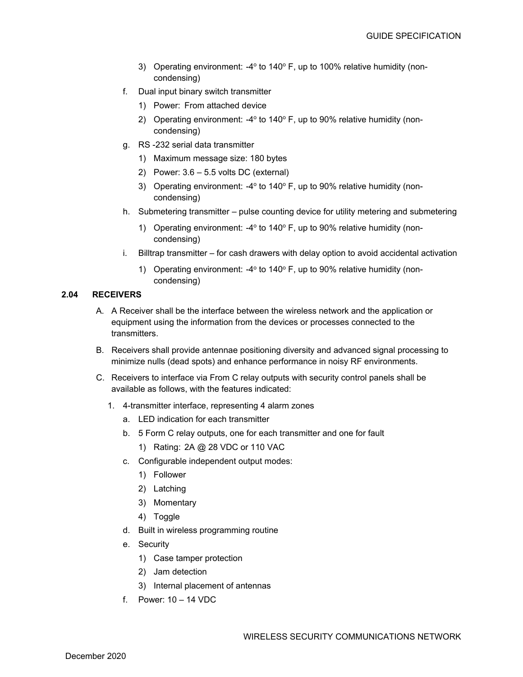- 3) Operating environment: -4 $\degree$  to 140 $\degree$  F, up to 100% relative humidity (noncondensing)
- f. Dual input binary switch transmitter
	- 1) Power: From attached device
	- 2) Operating environment:  $-4^{\circ}$  to 140 $^{\circ}$  F, up to 90% relative humidity (noncondensing)
- g. RS -232 serial data transmitter
	- 1) Maximum message size: 180 bytes
	- 2) Power: 3.6 5.5 volts DC (external)
	- 3) Operating environment: -4 $\degree$  to 140 $\degree$  F, up to 90% relative humidity (noncondensing)
- h. Submetering transmitter pulse counting device for utility metering and submetering
	- 1) Operating environment:  $-4^{\circ}$  to 140 $^{\circ}$  F, up to 90% relative humidity (noncondensing)
- i. Billtrap transmitter for cash drawers with delay option to avoid accidental activation
	- 1) Operating environment:  $-4^{\circ}$  to 140 $^{\circ}$  F, up to 90% relative humidity (noncondensing)

## **2.04 RECEIVERS**

- A. A Receiver shall be the interface between the wireless network and the application or equipment using the information from the devices or processes connected to the transmitters.
- B. Receivers shall provide antennae positioning diversity and advanced signal processing to minimize nulls (dead spots) and enhance performance in noisy RF environments.
- C. Receivers to interface via From C relay outputs with security control panels shall be available as follows, with the features indicated:
	- 1. 4-transmitter interface, representing 4 alarm zones
		- a. LED indication for each transmitter
		- b. 5 Form C relay outputs, one for each transmitter and one for fault
			- 1) Rating: 2A @ 28 VDC or 110 VAC
		- c. Configurable independent output modes:
			- 1) Follower
			- 2) Latching
			- 3) Momentary
			- 4) Toggle
		- d. Built in wireless programming routine
		- e. Security
			- 1) Case tamper protection
			- 2) Jam detection
			- 3) Internal placement of antennas
		- f. Power: 10 14 VDC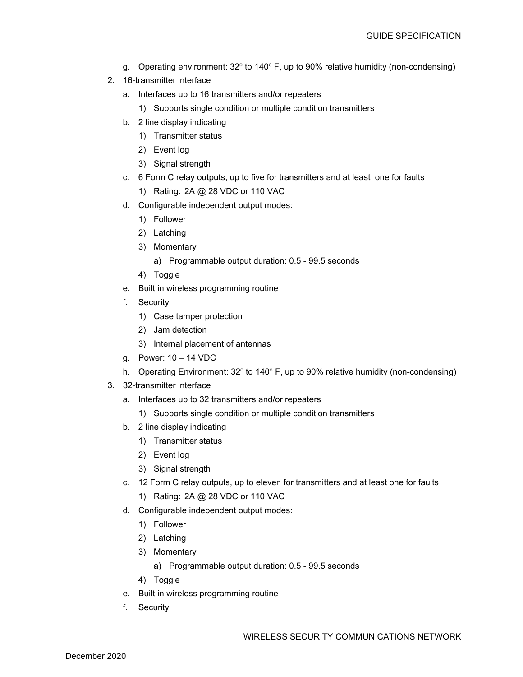- g. Operating environment:  $32^{\circ}$  to  $140^{\circ}$  F, up to 90% relative humidity (non-condensing)
- 2. 16-transmitter interface
	- a. Interfaces up to 16 transmitters and/or repeaters
		- 1) Supports single condition or multiple condition transmitters
	- b. 2 line display indicating
		- 1) Transmitter status
		- 2) Event log
		- 3) Signal strength
	- c. 6 Form C relay outputs, up to five for transmitters and at least one for faults
		- 1) Rating: 2A @ 28 VDC or 110 VAC
	- d. Configurable independent output modes:
		- 1) Follower
		- 2) Latching
		- 3) Momentary
			- a) Programmable output duration: 0.5 99.5 seconds
		- 4) Toggle
	- e. Built in wireless programming routine
	- f. Security
		- 1) Case tamper protection
		- 2) Jam detection
		- 3) Internal placement of antennas
	- g. Power: 10 14 VDC
	- h. Operating Environment:  $32^{\circ}$  to  $140^{\circ}$  F, up to 90% relative humidity (non-condensing)
- 3. 32-transmitter interface
	- a. Interfaces up to 32 transmitters and/or repeaters
		- 1) Supports single condition or multiple condition transmitters
	- b. 2 line display indicating
		- 1) Transmitter status
		- 2) Event log
		- 3) Signal strength
	- c. 12 Form C relay outputs, up to eleven for transmitters and at least one for faults
		- 1) Rating: 2A @ 28 VDC or 110 VAC
	- d. Configurable independent output modes:
		- 1) Follower
		- 2) Latching
		- 3) Momentary
			- a) Programmable output duration: 0.5 99.5 seconds
		- 4) Toggle
	- e. Built in wireless programming routine
	- f. Security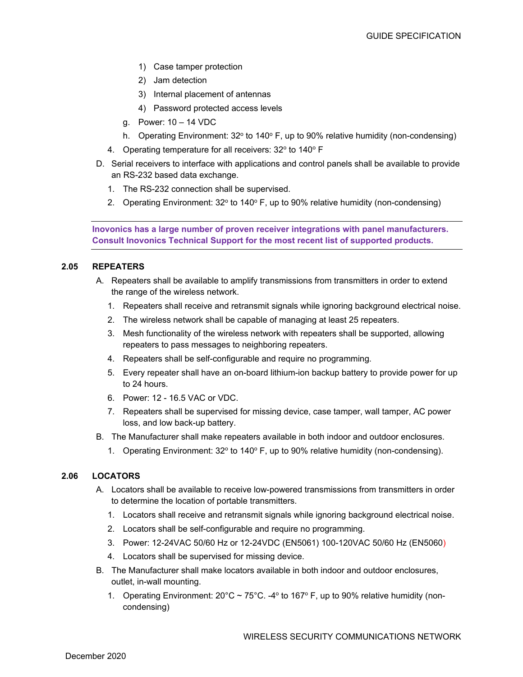- 1) Case tamper protection
- 2) Jam detection
- 3) Internal placement of antennas
- 4) Password protected access levels
- g. Power: 10 14 VDC
- h. Operating Environment:  $32^{\circ}$  to  $140^{\circ}$  F, up to 90% relative humidity (non-condensing)
- 4. Operating temperature for all receivers: 32° to 140° F
- D. Serial receivers to interface with applications and control panels shall be available to provide an RS-232 based data exchange.
	- 1. The RS-232 connection shall be supervised.
	- 2. Operating Environment:  $32^{\circ}$  to  $140^{\circ}$  F, up to 90% relative humidity (non-condensing)

**Inovonics has a large number of proven receiver integrations with panel manufacturers. Consult Inovonics Technical Support for the most recent list of supported products.** 

## **2.05 REPEATERS**

- A. Repeaters shall be available to amplify transmissions from transmitters in order to extend the range of the wireless network.
	- 1. Repeaters shall receive and retransmit signals while ignoring background electrical noise.
	- 2. The wireless network shall be capable of managing at least 25 repeaters.
	- 3. Mesh functionality of the wireless network with repeaters shall be supported, allowing repeaters to pass messages to neighboring repeaters.
	- 4. Repeaters shall be self-configurable and require no programming.
	- 5. Every repeater shall have an on-board lithium-ion backup battery to provide power for up to 24 hours.
	- 6. Power: 12 16.5 VAC or VDC.
	- 7. Repeaters shall be supervised for missing device, case tamper, wall tamper, AC power loss, and low back-up battery.
- B. The Manufacturer shall make repeaters available in both indoor and outdoor enclosures.
	- 1. Operating Environment:  $32^{\circ}$  to  $140^{\circ}$  F, up to 90% relative humidity (non-condensing).

## **2.06 LOCATORS**

- A. Locators shall be available to receive low-powered transmissions from transmitters in order to determine the location of portable transmitters.
	- 1. Locators shall receive and retransmit signals while ignoring background electrical noise.
	- 2. Locators shall be self-configurable and require no programming.
	- 3. Power: 12-24VAC 50/60 Hz or 12-24VDC (EN5061) 100-120VAC 50/60 Hz (EN5060)
	- 4. Locators shall be supervised for missing device.
- B. The Manufacturer shall make locators available in both indoor and outdoor enclosures, outlet, in-wall mounting.
	- 1. Operating Environment:  $20^{\circ}$ C ~ 75°C. -4° to 167° F, up to 90% relative humidity (noncondensing)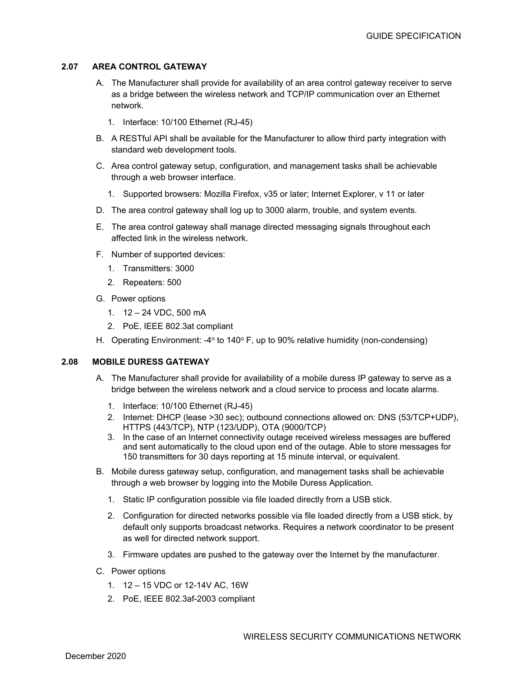## **2.07 AREA CONTROL GATEWAY**

- A. The Manufacturer shall provide for availability of an area control gateway receiver to serve as a bridge between the wireless network and TCP/IP communication over an Ethernet network.
	- 1. Interface: 10/100 Ethernet (RJ-45)
- B. A RESTful API shall be available for the Manufacturer to allow third party integration with standard web development tools.
- C. Area control gateway setup, configuration, and management tasks shall be achievable through a web browser interface.
	- 1. Supported browsers: Mozilla Firefox, v35 or later; Internet Explorer, v 11 or later
- D. The area control gateway shall log up to 3000 alarm, trouble, and system events.
- E. The area control gateway shall manage directed messaging signals throughout each affected link in the wireless network.
- F. Number of supported devices:
	- 1. Transmitters: 3000
	- 2. Repeaters: 500
- G. Power options
	- 1. 12 24 VDC, 500 mA
	- 2. PoE, IEEE 802.3at compliant
- H. Operating Environment:  $-4^{\circ}$  to 140 $^{\circ}$  F, up to 90% relative humidity (non-condensing)

## **2.08 MOBILE DURESS GATEWAY**

- A. The Manufacturer shall provide for availability of a mobile duress IP gateway to serve as a bridge between the wireless network and a cloud service to process and locate alarms.
	- 1. Interface: 10/100 Ethernet (RJ-45)
	- 2. Internet: DHCP (lease >30 sec); outbound connections allowed on: DNS (53/TCP+UDP), HTTPS (443/TCP), NTP (123/UDP), OTA (9000/TCP)
	- 3. In the case of an Internet connectivity outage received wireless messages are buffered and sent automatically to the cloud upon end of the outage. Able to store messages for 150 transmitters for 30 days reporting at 15 minute interval, or equivalent.
- B. Mobile duress gateway setup, configuration, and management tasks shall be achievable through a web browser by logging into the Mobile Duress Application.
	- 1. Static IP configuration possible via file loaded directly from a USB stick.
	- 2. Configuration for directed networks possible via file loaded directly from a USB stick, by default only supports broadcast networks. Requires a network coordinator to be present as well for directed network support.
	- 3. Firmware updates are pushed to the gateway over the Internet by the manufacturer.
- C. Power options
	- 1. 12 15 VDC or 12-14V AC, 16W
	- 2. PoE, IEEE 802.3af-2003 compliant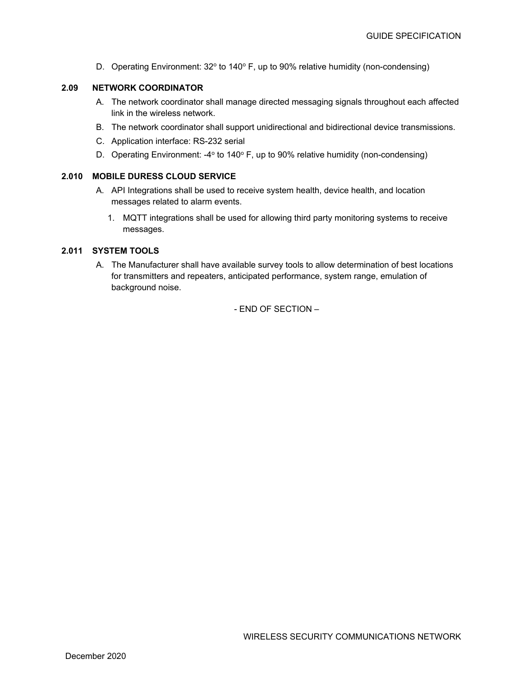D. Operating Environment:  $32^{\circ}$  to  $140^{\circ}$  F, up to 90% relative humidity (non-condensing)

## **2.09 NETWORK COORDINATOR**

- A. The network coordinator shall manage directed messaging signals throughout each affected link in the wireless network.
- B. The network coordinator shall support unidirectional and bidirectional device transmissions.
- C. Application interface: RS-232 serial
- D. Operating Environment: -4 $\degree$  to 140 $\degree$  F, up to 90% relative humidity (non-condensing)

#### **2.010 MOBILE DURESS CLOUD SERVICE**

- A. API Integrations shall be used to receive system health, device health, and location messages related to alarm events.
	- 1. MQTT integrations shall be used for allowing third party monitoring systems to receive messages.

## **2.011 SYSTEM TOOLS**

A. The Manufacturer shall have available survey tools to allow determination of best locations for transmitters and repeaters, anticipated performance, system range, emulation of background noise.

- END OF SECTION –